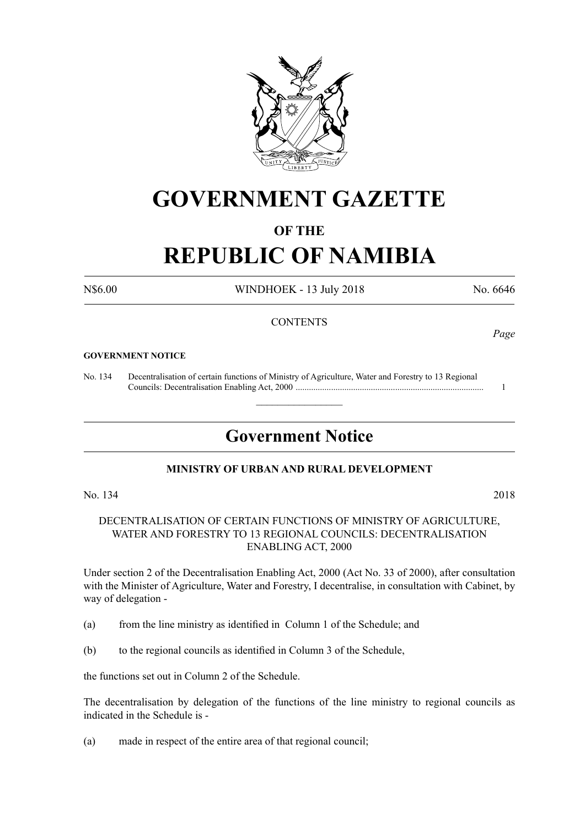

## **GOVERNMENT GAZETTE**

### **OF THE**

# **REPUBLIC OF NAMIBIA**

N\$6.00 WINDHOEK - 13 July 2018 No. 6646

### **CONTENTS**

#### **GOVERNMENT NOTICE**

No. 134 Decentralisation of certain functions of Ministry of Agriculture, Water and Forestry to 13 Regional Councils: Decentralisation Enabling Act, 2000 ..................................................................................... 1

### **Government Notice**

 $\overline{\phantom{a}}$  , where  $\overline{\phantom{a}}$ 

### **MINISTRY OF URBAN AND RURAL DEVELOPMENT**

No. 134 2018

### DECENTRALISATION OF CERTAIN FUNCTIONS OF MINISTRY OF AGRICULTURE, WATER AND FORESTRY TO 13 REGIONAL COUNCILS: DECENTRALISATION ENABLING ACT, 2000

Under section 2 of the Decentralisation Enabling Act, 2000 (Act No. 33 of 2000), after consultation with the Minister of Agriculture, Water and Forestry, I decentralise, in consultation with Cabinet, by way of delegation -

- (a) from the line ministry as identified in Column 1 of the Schedule; and
- (b) to the regional councils as identified in Column 3 of the Schedule,

the functions set out in Column 2 of the Schedule.

The decentralisation by delegation of the functions of the line ministry to regional councils as indicated in the Schedule is -

(a) made in respect of the entire area of that regional council;

*Page*